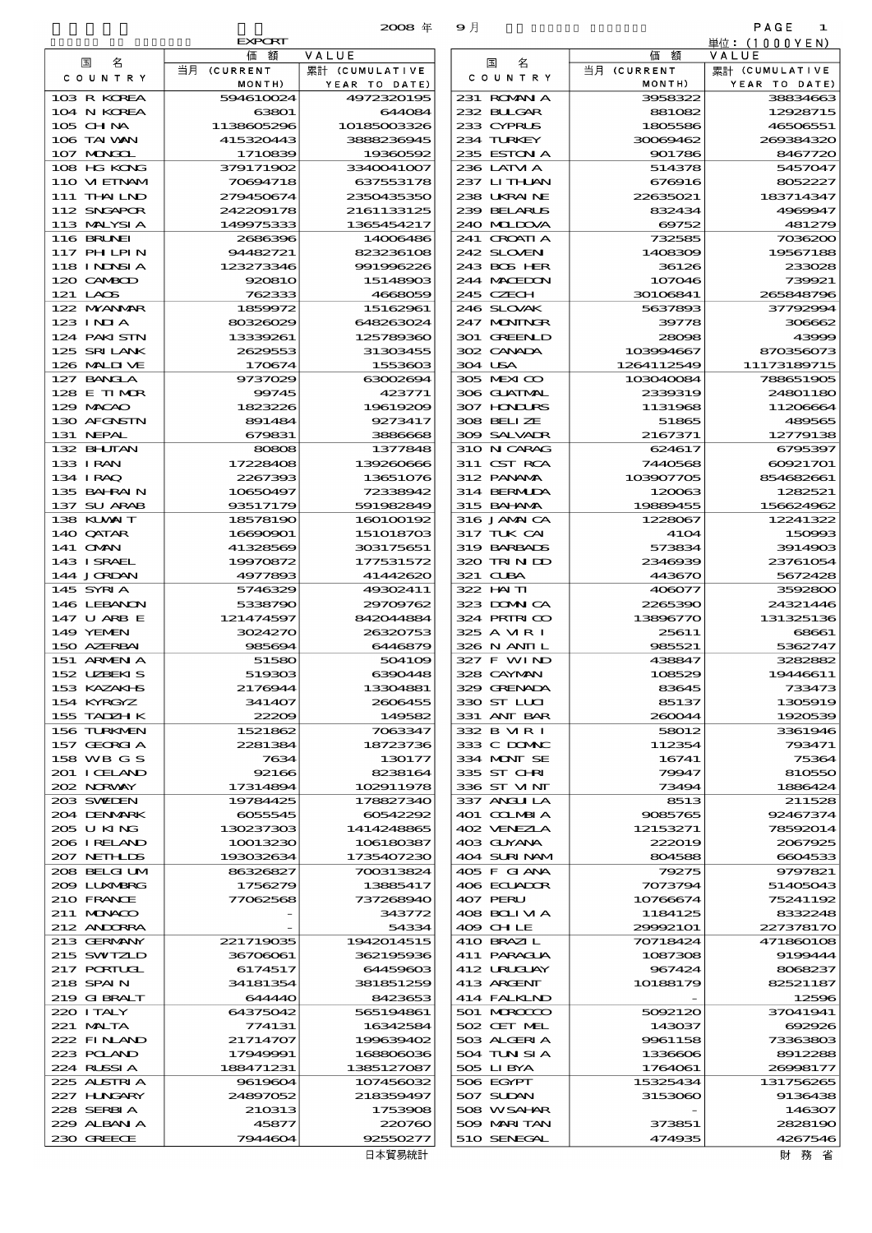EVALUES **by Country Country Expo** 

|                                  | EXPORT<br>価額          | VALUE                   |                            | 額<br>価               | 里位:(1000YEN)<br>VALUE                             |
|----------------------------------|-----------------------|-------------------------|----------------------------|----------------------|---------------------------------------------------|
| 国<br>名                           | 当月 (CURRENT           | 累計 (CUMULATIVE          | 国<br>名                     | 当月 (CURRENT          | 累計 (CUMULATIVE                                    |
| COUNTRY                          | MONTH)                | YEAR TO DATE)           | COUNTRY                    | MONTH)               | YEAR TO DATE)                                     |
| 103 R KOREA                      | 594610024             | 4972320195              | 231 ROMANIA                | 3958322              | 38834663                                          |
| 104 N KOREA                      | 63801                 | 644084                  | 232 BUGAR                  | 881082               | 12928715                                          |
| $105$ CHNA                       | 1138605296            | 10185003326             | 233 CYPRUS                 | 1805586              | 46506551                                          |
| 106 TAI WAN                      | 415320443             | 3888236945              | 234 TURKEY                 | 30069462             | 200334320                                         |
| 107 MAGOL                        | 1710839               | 19360592                | 235 ESTON A                | 901786               | 8467720                                           |
| 108 HG KONG                      | 379171902             | 3340041007              | 236 LATM A                 | 514378               | 5457047                                           |
| 110 VIEINAM                      | 70894718              | 637553178               | 237 LITHLAN                | 676916               | 8052227                                           |
| 111 THAILND                      | 279450674             | 2350435350              | 238 UKRAINE                | 22635021             | 183714347                                         |
| 112 SNGAPOR                      | 242209178             | 2161133125              | 239 BELARUS                | 832434               | 4969947                                           |
| 113 MALYSIA<br><b>116 BRUNEI</b> | 149975333<br>2686396  | 1365454217<br>14006486  | 240 MIDOVA<br>241 CROATIA  | 69752<br>732585      | 481279<br>7036200                                 |
| <b>117 PHLPIN</b>                | 94482721              | 823236108               | 242 SLOVEN                 | 1408309              | 19567188                                          |
| 118 I NDNSI A                    | 123273346             | 991996226               | 243 BOS HER                | 36126                | 233028                                            |
| 120 CAMBOD                       | 920810                | 15148903                | 244 MACEDON                | 107046               | 739921                                            |
| 121 LAOS                         | 762333                | 4668059                 | 245 CZECH                  | 30106841             | 265848796                                         |
| 122 NYANAR                       | 1859972               | 15162961                | 246 SLOVAK                 | 5637893              | 37792994                                          |
| $123$ INJA                       | 80326029              | 648263024               | 247 MONINGR                | 39778                | 306662                                            |
| 124 PAKI STN                     | 13339261              | 125780360               | 301 GREENLD                | 28098                | 43996                                             |
| 125 SRILANK                      | 2629553               | 31303455                | 302 CANADA                 | 103994667            | 870356073                                         |
| 126 MAIDIVE                      | 170674                | 1553603                 | 304 USA                    | 1264112549           | 11173189715                                       |
| 127 BANGLA                       | 9737029               | 63002694                | 305 MEXICO                 | 103040084            | 788651905                                         |
| 128 E TIMOR                      | 99745                 | 423771                  | 306 GUATMAL                | 2339319              | 24801180                                          |
| 129 MACAO                        | 1823226               | 19619209                | 307 HNURS                  | 1131968              | 11206664                                          |
| 130 AFGNSTN                      | 891484                | 9273417                 | 308 BELIZE                 | 51865                | 489565                                            |
| 131 NEPAL                        | 679831                | 3886668                 | 309 SALVADR                | 2167371              | 12779138                                          |
| 132 BHUTAN                       | 80808                 | 1377848                 | 310 N CARAG                | 624617               | 6795397                                           |
| 133 I RAN                        | 17228408<br>2267393   | 139260666<br>13651076   | 311 CST RCA<br>312 PANAMA  | 7440568<br>103907705 | 60921701<br>854682661                             |
| 134 I RAQ<br>135 BAHRAIN         | 10650497              | 72338942                | 314 BERMIDA                | 120063               | 1282521                                           |
| 137 SU ARAB                      | 93517179              | 591982849               | 315 BAI ANA                | 19889455             | 156624962                                         |
| 138 KUWAIT                       | 18578190              | 160100192               | 316 JAMAICA                | 1228067              | 12241322                                          |
| 140 QATAR                        | 16690901              | 151018703               | 317 TUK CAI                | 4104                 | 150990                                            |
| 141 OMN                          | 41328569              | 303175651               | 319 BARBADS                | 573834               | 3914903                                           |
| 143 ISRAEL                       | 19970872              | 177531572               | 320 TRINDO                 | 2346939              | 23761054                                          |
| 144 JORDAN                       | 4977893               | 41442620                | 321 CLBA                   | 443670               | 5672428                                           |
| 145 SYRIA                        | 5746329               | 49302411                | 322 HAITI                  | 406077               | 3592800                                           |
| 146 LEBANON                      | 5338790               | 29709762                | 323 DOWN CA                | 2265390              | 24321446                                          |
| 147 U ARB E                      | 121474597             | 842044884               | 324 PRIRICO                | 13896770             | 131325136                                         |
| 149 YEMEN                        | 3024270               | 26320753                | 325 A MR I                 | 25611                | 68661                                             |
| 150 AZERBAI<br>151 ARMEN A       | 985694<br>51580       | 6446879<br>504109       | 326 N ANII L<br>327 F WIND | 985521<br>438847     | 5362747<br>3282882                                |
| 152 UZBEKIS                      | 519303                | 6390448                 | 328 CAYMAN                 | 108529               | 19446611                                          |
| 153 KAZAKI S                     | 2176944               | 13304881                | 329 GRENADA                | 83645                | 733473                                            |
| 154 KYRGYZ                       | 341407                | 2606455                 | 330 ST LLCI                | 85137                | 1305919                                           |
| 155 TADZH K                      | 22209                 | 149582                  | 331 ANT BAR                | 260044               | 1920539                                           |
| 156 TURKMEN                      | 1521862               | 7063347                 | 332 B MR I                 | 58012                | 3361946                                           |
| 157 GEORGIA                      | 2281384               | 18723736                | 333 C DOMIC                | 112354               | 793471                                            |
| 158 WB G S                       | 7634                  | 130177                  | 334 MONT SE                | 16741                | 75364                                             |
| 201 I CELAND                     | 92166                 | 8238164                 | 335 ST CHRI                | 79947                | 810550                                            |
| 202 NORWAY                       | 17314894              | 102911978               | 336 ST MNT                 | 73494                | 1886424                                           |
| 203 SVADEN                       | 19784425              | 178827340               | 337 ANGLILA                | 8513                 | 211528                                            |
| 204 DENMARK                      | 6055545               | 60542292                | 401 COLMBIA                | 9085765              | 92467374                                          |
| 205 U KING<br>206 I RELAND       | 130237303<br>10013230 | 1414248865<br>106180387 | 402 VENEZIA<br>403 GUYANA  | 12153271<br>222019   | 78592014<br>2067925                               |
| 207 NETHLIS                      | 193032634             | 1735407230              | 404 SURINAM                | 804588               | 6604533                                           |
| 208 BELGI UM                     | 86326827              | 700313824               | 405 F GIANA                | 79275                | 9797821                                           |
| 2009 LUNARRG                     | 1756279               | 13885417                | 406 ECUADOR                | 7073794              | 51405043                                          |
| 210 FRANCE                       | 77062568              | 737268940               | 407 PERU                   | 10766674             | 75241192                                          |
| 211 MUNACO                       |                       | 343772                  | 408 BOLI VI A              | 1184125              | 8332248                                           |
| 212 ANDORRA                      |                       | 54334                   | 409 CHLE                   | 29992101             | 227378170                                         |
| 213 GERMANY                      | 221719035             | 1942014515              | 410 BRAZIL                 | 70718424             | 471860106                                         |
| 215 SWIZLD                       | 36706061              | 362195936               | 411 PARAGUA                | 1087308              | 9199444                                           |
| 217 PORTUGL                      | 6174517               | 64459603                | 412 URUCUAY                | 967424               | 8068237                                           |
| 218 SPAIN                        | 34181354              | 381851259               | 413 ARCENT                 | 10188179             | 82521187                                          |
| 219 GIBRALT<br>220 I TALY        | 644440<br>64375042    | 8423653<br>565194861    | 414 FALKIND<br>501 MROCCO  |                      | 12596<br>37041941                                 |
| 221 MALTA                        | 774131                | 16342584                | 502 CET MEL                | 5092120<br>143037    | 692926                                            |
| 222 FINAND                       | 21714707              | 199639402               | 503 ALGERIA                | 9961158              | 73363803                                          |
| 223 POLAND                       | 17949991              | 168806036               | 504 TUN SI A               | 1336606              | 8912286                                           |
| 224 RUSSI A                      | 188471231             | 1385127087              | 505 LIBYA                  | 1764061              | 26998177                                          |
| 225 ALSTRIA                      | 9619604               | 107456032               | 506 EGYPT                  | 15325434             | 131756265                                         |
| 227 H.NGARY                      | 24897052              | 218359497               | 507 SUDAN                  | 3153060              | 9136438                                           |
| 228 SERBIA                       | 210313                | 1753908                 | 508 WSAHAR                 |                      | 146307                                            |
| 229 ALBAN A                      | 45877                 | 220760                  | 509 MARITAN                | 373851               | 2828190                                           |
| 230 GREECE                       | 7944604               | 92550277                | 510 SENEGAL                | 474935               | 4267546                                           |
|                                  |                       | 日本留易統計                  |                            |                      | 一 みみな しょうしゃ みなし みなし みなし みなし あいじょう はんしゃく ひとうし はんしゃ |

| COUNTRY<br>C O U N T R Y<br>MONTH)<br>MONTH)<br>YEAR TO DATE)<br>YEAR TO DATE)<br>103 R KOREA<br>4972320195<br>231 ROMANIA<br>38834663<br>594610024<br>3958322<br>104 N KOREA<br>63801<br>644084<br>232 BUGAR<br>12928715<br>881082<br>105 CHNA<br>1138605296<br>10185003326<br>233 CYPRUS<br>46506551<br>1805586<br>106 TAI VAN<br>234 TURKEY<br>415320443<br>3888236945<br>30069462<br>269384320<br>107 MONGOL<br>1710839<br>19360592<br>235 ESTON A<br>901786<br>8467720<br>108 HG KONG<br>379171902<br>3340041007<br>236 LATM A<br>514378<br>5457047<br>110 VIEINAM<br>70694718<br>637553178<br>237 LITHLAN<br>676916<br>8052227<br>111 THAILND<br>238 UKRAINE<br>183714347<br>279450674<br>2350435350<br>22635021<br>112 SNGAPOR<br>242209178<br>2161133125<br>239 BELARUS<br>4969947<br>832434<br>113 MALYSIA<br>149975333<br>1365454217<br>240 MIDOVA<br>69752<br>481279<br>116 BRUNEI<br>$241$ CROATI A<br>2686396<br>14006486<br>732585<br>7036200<br>117 PHLPIN<br>94482721<br>823236108<br>242 SLOVEN<br>1408309<br>19567188<br>118 I NDSI A<br>123273346<br>243 BOS HER<br>991996226<br>36126<br>233028<br>120 CAMBOD<br>920810<br>15148903<br>244 MACEDON<br>107046<br>739921<br>121 LAOS<br>762333<br>4668059<br>245 CZECH<br>30106841<br>265848796<br>122 MYANMAR<br>246 SLOVAK<br>37792994<br>1859972<br>15162961<br>5637893<br>123 INJA<br>80326029<br>648263024<br>247 MONINGR<br>306662<br>39778<br>124 PAKISTN<br>301 GREENLD<br>13339261<br>125789360<br>28098<br>43999<br>125 SRILANK<br>2629553<br>31303455<br>302 CANADA<br>103994667<br>870356073<br>126 MALINE<br>170674<br>1553603<br>304 USA<br>1264112549<br>11173189715<br>127 BANCLA<br>305 MEXICO<br>9737029<br>63002694<br>103040084<br>788651905<br>128 E TIMOR<br>423771<br>306 GUATMAL<br>2339319<br>24801180<br>99745<br>129 MACAO<br>307 HONDURS<br>1823226<br>19619209<br>1131968<br>11206664<br>130 AFGNSTN<br>9273417<br>308 BELIZE<br>489565<br>891484<br>51865<br>131 NEPAL<br>309 SALVADR<br>2167371<br>12779138<br>679831<br>3886668<br>132 BHUTAN<br>310 N CARAG<br>80808<br>1377848<br>624617<br>6795397<br>133 I RAN<br>17228408<br>139260666<br>311 CST RCA<br>7440568<br>60921701<br>134 I RAQ<br>312 PANAMA<br>103907705<br>2267393<br>13651076<br>854682661<br>135 BAHRAIN<br>10650497<br>72338942<br>314 BERMUDA<br>120063<br>1282521<br>137 SU ARAB<br>93517179<br>591982849<br>315 BAHANA<br>19889455<br>156624962<br>138 KUWAIT<br>160100192<br>316 JAMAICA<br>12241322<br>18578190<br>1228067<br>140 QATAR<br>16690901<br>151018703<br>317 TUK CAI<br>4104<br>150993<br>141 <b>OMN</b><br>303175651<br>319 BARBADS<br>41328569<br>573834<br>3914903<br>143 ISRAEL<br>19970872<br>177531572<br>320 TRIN DD<br>23761054<br>2346939<br>144 JORDAN<br>4977893<br>41442620<br>321 CLBA<br>443670<br>5672428<br>145 SYRIA<br>49302411<br>322 HAITI<br>5746329<br>406077<br>3592800<br>146 LEBANON<br>5338790<br>29709762<br>323 DOWN CA<br>2265390<br>24321446<br>147 U ARB E<br>324 PRIRICO<br>131325136<br>121474597<br>842044884<br>13896770<br>149 YEMEN<br>3024270<br>26320753<br>325 A MR I<br>68661<br>25611<br>150 AZERBAI<br>985694<br>6446879<br>326 N ANII L<br>5362747<br>985521<br>151 ARMENIA<br>327 F WIND<br>3282882<br>51580<br>504109<br>438847<br>152 UZBEKIS<br>519303<br>6390448<br>328 CAYMAN<br>19446611<br>108529<br>153 KAZAKI B<br>329 GRENADA<br>733473<br>2176944<br>13304881<br>83645<br>154 KYRGYZ<br>330 ST LLCI<br>85137<br>1305919<br>341407<br>2606455<br>155 TADZH K<br>22209<br>149582<br>331 ANT BAR<br>260044<br>1920539<br>156 TURKMEN<br>1521862<br>7063347<br>332 B MR I<br>58012<br>3361946<br>157 GEORGIA<br>333 C DOMAC<br>112354<br>2281384<br>18723736<br>793471<br>158 WB G S<br>7634<br>130177<br>334 MONT SE<br>16741<br>75364<br>92166<br>8238164<br>335 ST CHRI<br>79947<br>810550<br>336 ST VINT<br>17314894<br>102911978<br>73494<br>1886424<br>19784425<br>178827340<br>337 ANGLILA<br>8513<br>211528<br>60542292<br>401 COLMBIA<br>6055545<br>9085765<br>92467374<br>205 U KING<br>130237303<br>1414248865<br>402 VENEZIA<br>12153271<br>78592014<br>206 I RELAND<br>106180387<br>403 GUYANA<br>10013230<br>222019<br>2067925<br>207 NETHLIS<br>193032634<br>1735407230<br>404 SURINAM<br>804588<br>6604533<br>208 BELGI UM<br>86326827<br>700313824<br>405 F GIANA<br>79275<br>9797821<br>2009 LUNABRG<br>1756279<br>13885417<br>406 ECUADOR<br>7073794<br>51405043<br>210 FRANCE<br>77062568<br>737268940<br>407 PERU<br>75241192<br>10766674<br>211 MUNACO<br>408 BOIVA<br>343772<br>1184125<br>8332248<br>212 ANDORRA<br>54334<br>409 CHLE<br>29992101<br>227378170<br>213 GERMANY<br>221719035<br>1942014515<br>410 BRAZIL<br>70718424<br>471860108<br>362195936<br>36706061<br>411 PARAGUA<br>1087308<br>9199444<br>6174517<br>64459603<br>412 URUCUAY<br>967424<br>8068237<br>413 ARGENT<br>34181354<br>381851259<br>10188179<br>82521187<br>644440<br>8423653<br>414 FALKLND<br>12596<br>64375042<br>565194861<br>501 MROCCO<br>5092120<br>37041941<br>502 CET MEL<br>774131<br>16342584<br>143037<br>692926<br>21714707<br>199639402<br>503 ALGERIA<br>9961158<br>73363803<br>504 TUN SI A<br>17949991<br>168806036<br>1336606<br>8912288<br>188471231<br>1385127087<br>505 LIBYA<br>1764061<br>26008177<br>225 ALSTRIA<br>9619604<br>107456032<br>506 EGYPT<br>15325434<br>131756265<br>507 SUDAN<br>227 H.NGARY<br>24897052<br>218359497<br>3153060<br>9136438<br>228 SERBIA<br>210313<br>1753908<br>508 WSAHAR<br>146307<br>229 ALBAN A<br>509 MARI TAN<br>45877<br>220760<br>373851<br>2828190<br>230 GREECE<br>510 SENEGAL<br>7944604<br>92550277<br>474935<br>4267546 | 名<br>国       |             |                | 国<br>名 |             |                |
|------------------------------------------------------------------------------------------------------------------------------------------------------------------------------------------------------------------------------------------------------------------------------------------------------------------------------------------------------------------------------------------------------------------------------------------------------------------------------------------------------------------------------------------------------------------------------------------------------------------------------------------------------------------------------------------------------------------------------------------------------------------------------------------------------------------------------------------------------------------------------------------------------------------------------------------------------------------------------------------------------------------------------------------------------------------------------------------------------------------------------------------------------------------------------------------------------------------------------------------------------------------------------------------------------------------------------------------------------------------------------------------------------------------------------------------------------------------------------------------------------------------------------------------------------------------------------------------------------------------------------------------------------------------------------------------------------------------------------------------------------------------------------------------------------------------------------------------------------------------------------------------------------------------------------------------------------------------------------------------------------------------------------------------------------------------------------------------------------------------------------------------------------------------------------------------------------------------------------------------------------------------------------------------------------------------------------------------------------------------------------------------------------------------------------------------------------------------------------------------------------------------------------------------------------------------------------------------------------------------------------------------------------------------------------------------------------------------------------------------------------------------------------------------------------------------------------------------------------------------------------------------------------------------------------------------------------------------------------------------------------------------------------------------------------------------------------------------------------------------------------------------------------------------------------------------------------------------------------------------------------------------------------------------------------------------------------------------------------------------------------------------------------------------------------------------------------------------------------------------------------------------------------------------------------------------------------------------------------------------------------------------------------------------------------------------------------------------------------------------------------------------------------------------------------------------------------------------------------------------------------------------------------------------------------------------------------------------------------------------------------------------------------------------------------------------------------------------------------------------------------------------------------------------------------------------------------------------------------------------------------------------------------------------------------------------------------------------------------------------------------------------------------------------------------------------------------------------------------------------------------------------------------------------------------------------------------------------------------------------------------------------------------------------------------------------------------------------------------------------------------------------------------------------------------------------------------------------------------------------------------------------------------------------------------------------------------------------------------------------------------------------------------------------------------------------------------------------------------------------------------------------------------------------------------------------------------------------------------------------------------------------------------------------------------------------------------------------------------------------------------------------------------------------------------------------------------------------------------------------------------------------------------------------------------------------------------------------------------------------------------------------------|--------------|-------------|----------------|--------|-------------|----------------|
|                                                                                                                                                                                                                                                                                                                                                                                                                                                                                                                                                                                                                                                                                                                                                                                                                                                                                                                                                                                                                                                                                                                                                                                                                                                                                                                                                                                                                                                                                                                                                                                                                                                                                                                                                                                                                                                                                                                                                                                                                                                                                                                                                                                                                                                                                                                                                                                                                                                                                                                                                                                                                                                                                                                                                                                                                                                                                                                                                                                                                                                                                                                                                                                                                                                                                                                                                                                                                                                                                                                                                                                                                                                                                                                                                                                                                                                                                                                                                                                                                                                                                                                                                                                                                                                                                                                                                                                                                                                                                                                                                                                                                                                                                                                                                                                                                                                                                                                                                                                                                                                                                                                                                                                                                                                                                                                                                                                                                                                                                                                                                                                                                                                |              | 当月 (CURRENT | 累計 (CUMULATIVE |        | 当月 (CURRENT | 累計 (CUMULATIVE |
|                                                                                                                                                                                                                                                                                                                                                                                                                                                                                                                                                                                                                                                                                                                                                                                                                                                                                                                                                                                                                                                                                                                                                                                                                                                                                                                                                                                                                                                                                                                                                                                                                                                                                                                                                                                                                                                                                                                                                                                                                                                                                                                                                                                                                                                                                                                                                                                                                                                                                                                                                                                                                                                                                                                                                                                                                                                                                                                                                                                                                                                                                                                                                                                                                                                                                                                                                                                                                                                                                                                                                                                                                                                                                                                                                                                                                                                                                                                                                                                                                                                                                                                                                                                                                                                                                                                                                                                                                                                                                                                                                                                                                                                                                                                                                                                                                                                                                                                                                                                                                                                                                                                                                                                                                                                                                                                                                                                                                                                                                                                                                                                                                                                |              |             |                |        |             |                |
|                                                                                                                                                                                                                                                                                                                                                                                                                                                                                                                                                                                                                                                                                                                                                                                                                                                                                                                                                                                                                                                                                                                                                                                                                                                                                                                                                                                                                                                                                                                                                                                                                                                                                                                                                                                                                                                                                                                                                                                                                                                                                                                                                                                                                                                                                                                                                                                                                                                                                                                                                                                                                                                                                                                                                                                                                                                                                                                                                                                                                                                                                                                                                                                                                                                                                                                                                                                                                                                                                                                                                                                                                                                                                                                                                                                                                                                                                                                                                                                                                                                                                                                                                                                                                                                                                                                                                                                                                                                                                                                                                                                                                                                                                                                                                                                                                                                                                                                                                                                                                                                                                                                                                                                                                                                                                                                                                                                                                                                                                                                                                                                                                                                |              |             |                |        |             |                |
|                                                                                                                                                                                                                                                                                                                                                                                                                                                                                                                                                                                                                                                                                                                                                                                                                                                                                                                                                                                                                                                                                                                                                                                                                                                                                                                                                                                                                                                                                                                                                                                                                                                                                                                                                                                                                                                                                                                                                                                                                                                                                                                                                                                                                                                                                                                                                                                                                                                                                                                                                                                                                                                                                                                                                                                                                                                                                                                                                                                                                                                                                                                                                                                                                                                                                                                                                                                                                                                                                                                                                                                                                                                                                                                                                                                                                                                                                                                                                                                                                                                                                                                                                                                                                                                                                                                                                                                                                                                                                                                                                                                                                                                                                                                                                                                                                                                                                                                                                                                                                                                                                                                                                                                                                                                                                                                                                                                                                                                                                                                                                                                                                                                |              |             |                |        |             |                |
|                                                                                                                                                                                                                                                                                                                                                                                                                                                                                                                                                                                                                                                                                                                                                                                                                                                                                                                                                                                                                                                                                                                                                                                                                                                                                                                                                                                                                                                                                                                                                                                                                                                                                                                                                                                                                                                                                                                                                                                                                                                                                                                                                                                                                                                                                                                                                                                                                                                                                                                                                                                                                                                                                                                                                                                                                                                                                                                                                                                                                                                                                                                                                                                                                                                                                                                                                                                                                                                                                                                                                                                                                                                                                                                                                                                                                                                                                                                                                                                                                                                                                                                                                                                                                                                                                                                                                                                                                                                                                                                                                                                                                                                                                                                                                                                                                                                                                                                                                                                                                                                                                                                                                                                                                                                                                                                                                                                                                                                                                                                                                                                                                                                |              |             |                |        |             |                |
|                                                                                                                                                                                                                                                                                                                                                                                                                                                                                                                                                                                                                                                                                                                                                                                                                                                                                                                                                                                                                                                                                                                                                                                                                                                                                                                                                                                                                                                                                                                                                                                                                                                                                                                                                                                                                                                                                                                                                                                                                                                                                                                                                                                                                                                                                                                                                                                                                                                                                                                                                                                                                                                                                                                                                                                                                                                                                                                                                                                                                                                                                                                                                                                                                                                                                                                                                                                                                                                                                                                                                                                                                                                                                                                                                                                                                                                                                                                                                                                                                                                                                                                                                                                                                                                                                                                                                                                                                                                                                                                                                                                                                                                                                                                                                                                                                                                                                                                                                                                                                                                                                                                                                                                                                                                                                                                                                                                                                                                                                                                                                                                                                                                |              |             |                |        |             |                |
|                                                                                                                                                                                                                                                                                                                                                                                                                                                                                                                                                                                                                                                                                                                                                                                                                                                                                                                                                                                                                                                                                                                                                                                                                                                                                                                                                                                                                                                                                                                                                                                                                                                                                                                                                                                                                                                                                                                                                                                                                                                                                                                                                                                                                                                                                                                                                                                                                                                                                                                                                                                                                                                                                                                                                                                                                                                                                                                                                                                                                                                                                                                                                                                                                                                                                                                                                                                                                                                                                                                                                                                                                                                                                                                                                                                                                                                                                                                                                                                                                                                                                                                                                                                                                                                                                                                                                                                                                                                                                                                                                                                                                                                                                                                                                                                                                                                                                                                                                                                                                                                                                                                                                                                                                                                                                                                                                                                                                                                                                                                                                                                                                                                |              |             |                |        |             |                |
|                                                                                                                                                                                                                                                                                                                                                                                                                                                                                                                                                                                                                                                                                                                                                                                                                                                                                                                                                                                                                                                                                                                                                                                                                                                                                                                                                                                                                                                                                                                                                                                                                                                                                                                                                                                                                                                                                                                                                                                                                                                                                                                                                                                                                                                                                                                                                                                                                                                                                                                                                                                                                                                                                                                                                                                                                                                                                                                                                                                                                                                                                                                                                                                                                                                                                                                                                                                                                                                                                                                                                                                                                                                                                                                                                                                                                                                                                                                                                                                                                                                                                                                                                                                                                                                                                                                                                                                                                                                                                                                                                                                                                                                                                                                                                                                                                                                                                                                                                                                                                                                                                                                                                                                                                                                                                                                                                                                                                                                                                                                                                                                                                                                |              |             |                |        |             |                |
|                                                                                                                                                                                                                                                                                                                                                                                                                                                                                                                                                                                                                                                                                                                                                                                                                                                                                                                                                                                                                                                                                                                                                                                                                                                                                                                                                                                                                                                                                                                                                                                                                                                                                                                                                                                                                                                                                                                                                                                                                                                                                                                                                                                                                                                                                                                                                                                                                                                                                                                                                                                                                                                                                                                                                                                                                                                                                                                                                                                                                                                                                                                                                                                                                                                                                                                                                                                                                                                                                                                                                                                                                                                                                                                                                                                                                                                                                                                                                                                                                                                                                                                                                                                                                                                                                                                                                                                                                                                                                                                                                                                                                                                                                                                                                                                                                                                                                                                                                                                                                                                                                                                                                                                                                                                                                                                                                                                                                                                                                                                                                                                                                                                |              |             |                |        |             |                |
|                                                                                                                                                                                                                                                                                                                                                                                                                                                                                                                                                                                                                                                                                                                                                                                                                                                                                                                                                                                                                                                                                                                                                                                                                                                                                                                                                                                                                                                                                                                                                                                                                                                                                                                                                                                                                                                                                                                                                                                                                                                                                                                                                                                                                                                                                                                                                                                                                                                                                                                                                                                                                                                                                                                                                                                                                                                                                                                                                                                                                                                                                                                                                                                                                                                                                                                                                                                                                                                                                                                                                                                                                                                                                                                                                                                                                                                                                                                                                                                                                                                                                                                                                                                                                                                                                                                                                                                                                                                                                                                                                                                                                                                                                                                                                                                                                                                                                                                                                                                                                                                                                                                                                                                                                                                                                                                                                                                                                                                                                                                                                                                                                                                |              |             |                |        |             |                |
|                                                                                                                                                                                                                                                                                                                                                                                                                                                                                                                                                                                                                                                                                                                                                                                                                                                                                                                                                                                                                                                                                                                                                                                                                                                                                                                                                                                                                                                                                                                                                                                                                                                                                                                                                                                                                                                                                                                                                                                                                                                                                                                                                                                                                                                                                                                                                                                                                                                                                                                                                                                                                                                                                                                                                                                                                                                                                                                                                                                                                                                                                                                                                                                                                                                                                                                                                                                                                                                                                                                                                                                                                                                                                                                                                                                                                                                                                                                                                                                                                                                                                                                                                                                                                                                                                                                                                                                                                                                                                                                                                                                                                                                                                                                                                                                                                                                                                                                                                                                                                                                                                                                                                                                                                                                                                                                                                                                                                                                                                                                                                                                                                                                |              |             |                |        |             |                |
|                                                                                                                                                                                                                                                                                                                                                                                                                                                                                                                                                                                                                                                                                                                                                                                                                                                                                                                                                                                                                                                                                                                                                                                                                                                                                                                                                                                                                                                                                                                                                                                                                                                                                                                                                                                                                                                                                                                                                                                                                                                                                                                                                                                                                                                                                                                                                                                                                                                                                                                                                                                                                                                                                                                                                                                                                                                                                                                                                                                                                                                                                                                                                                                                                                                                                                                                                                                                                                                                                                                                                                                                                                                                                                                                                                                                                                                                                                                                                                                                                                                                                                                                                                                                                                                                                                                                                                                                                                                                                                                                                                                                                                                                                                                                                                                                                                                                                                                                                                                                                                                                                                                                                                                                                                                                                                                                                                                                                                                                                                                                                                                                                                                |              |             |                |        |             |                |
|                                                                                                                                                                                                                                                                                                                                                                                                                                                                                                                                                                                                                                                                                                                                                                                                                                                                                                                                                                                                                                                                                                                                                                                                                                                                                                                                                                                                                                                                                                                                                                                                                                                                                                                                                                                                                                                                                                                                                                                                                                                                                                                                                                                                                                                                                                                                                                                                                                                                                                                                                                                                                                                                                                                                                                                                                                                                                                                                                                                                                                                                                                                                                                                                                                                                                                                                                                                                                                                                                                                                                                                                                                                                                                                                                                                                                                                                                                                                                                                                                                                                                                                                                                                                                                                                                                                                                                                                                                                                                                                                                                                                                                                                                                                                                                                                                                                                                                                                                                                                                                                                                                                                                                                                                                                                                                                                                                                                                                                                                                                                                                                                                                                |              |             |                |        |             |                |
|                                                                                                                                                                                                                                                                                                                                                                                                                                                                                                                                                                                                                                                                                                                                                                                                                                                                                                                                                                                                                                                                                                                                                                                                                                                                                                                                                                                                                                                                                                                                                                                                                                                                                                                                                                                                                                                                                                                                                                                                                                                                                                                                                                                                                                                                                                                                                                                                                                                                                                                                                                                                                                                                                                                                                                                                                                                                                                                                                                                                                                                                                                                                                                                                                                                                                                                                                                                                                                                                                                                                                                                                                                                                                                                                                                                                                                                                                                                                                                                                                                                                                                                                                                                                                                                                                                                                                                                                                                                                                                                                                                                                                                                                                                                                                                                                                                                                                                                                                                                                                                                                                                                                                                                                                                                                                                                                                                                                                                                                                                                                                                                                                                                |              |             |                |        |             |                |
|                                                                                                                                                                                                                                                                                                                                                                                                                                                                                                                                                                                                                                                                                                                                                                                                                                                                                                                                                                                                                                                                                                                                                                                                                                                                                                                                                                                                                                                                                                                                                                                                                                                                                                                                                                                                                                                                                                                                                                                                                                                                                                                                                                                                                                                                                                                                                                                                                                                                                                                                                                                                                                                                                                                                                                                                                                                                                                                                                                                                                                                                                                                                                                                                                                                                                                                                                                                                                                                                                                                                                                                                                                                                                                                                                                                                                                                                                                                                                                                                                                                                                                                                                                                                                                                                                                                                                                                                                                                                                                                                                                                                                                                                                                                                                                                                                                                                                                                                                                                                                                                                                                                                                                                                                                                                                                                                                                                                                                                                                                                                                                                                                                                |              |             |                |        |             |                |
|                                                                                                                                                                                                                                                                                                                                                                                                                                                                                                                                                                                                                                                                                                                                                                                                                                                                                                                                                                                                                                                                                                                                                                                                                                                                                                                                                                                                                                                                                                                                                                                                                                                                                                                                                                                                                                                                                                                                                                                                                                                                                                                                                                                                                                                                                                                                                                                                                                                                                                                                                                                                                                                                                                                                                                                                                                                                                                                                                                                                                                                                                                                                                                                                                                                                                                                                                                                                                                                                                                                                                                                                                                                                                                                                                                                                                                                                                                                                                                                                                                                                                                                                                                                                                                                                                                                                                                                                                                                                                                                                                                                                                                                                                                                                                                                                                                                                                                                                                                                                                                                                                                                                                                                                                                                                                                                                                                                                                                                                                                                                                                                                                                                |              |             |                |        |             |                |
|                                                                                                                                                                                                                                                                                                                                                                                                                                                                                                                                                                                                                                                                                                                                                                                                                                                                                                                                                                                                                                                                                                                                                                                                                                                                                                                                                                                                                                                                                                                                                                                                                                                                                                                                                                                                                                                                                                                                                                                                                                                                                                                                                                                                                                                                                                                                                                                                                                                                                                                                                                                                                                                                                                                                                                                                                                                                                                                                                                                                                                                                                                                                                                                                                                                                                                                                                                                                                                                                                                                                                                                                                                                                                                                                                                                                                                                                                                                                                                                                                                                                                                                                                                                                                                                                                                                                                                                                                                                                                                                                                                                                                                                                                                                                                                                                                                                                                                                                                                                                                                                                                                                                                                                                                                                                                                                                                                                                                                                                                                                                                                                                                                                |              |             |                |        |             |                |
|                                                                                                                                                                                                                                                                                                                                                                                                                                                                                                                                                                                                                                                                                                                                                                                                                                                                                                                                                                                                                                                                                                                                                                                                                                                                                                                                                                                                                                                                                                                                                                                                                                                                                                                                                                                                                                                                                                                                                                                                                                                                                                                                                                                                                                                                                                                                                                                                                                                                                                                                                                                                                                                                                                                                                                                                                                                                                                                                                                                                                                                                                                                                                                                                                                                                                                                                                                                                                                                                                                                                                                                                                                                                                                                                                                                                                                                                                                                                                                                                                                                                                                                                                                                                                                                                                                                                                                                                                                                                                                                                                                                                                                                                                                                                                                                                                                                                                                                                                                                                                                                                                                                                                                                                                                                                                                                                                                                                                                                                                                                                                                                                                                                |              |             |                |        |             |                |
|                                                                                                                                                                                                                                                                                                                                                                                                                                                                                                                                                                                                                                                                                                                                                                                                                                                                                                                                                                                                                                                                                                                                                                                                                                                                                                                                                                                                                                                                                                                                                                                                                                                                                                                                                                                                                                                                                                                                                                                                                                                                                                                                                                                                                                                                                                                                                                                                                                                                                                                                                                                                                                                                                                                                                                                                                                                                                                                                                                                                                                                                                                                                                                                                                                                                                                                                                                                                                                                                                                                                                                                                                                                                                                                                                                                                                                                                                                                                                                                                                                                                                                                                                                                                                                                                                                                                                                                                                                                                                                                                                                                                                                                                                                                                                                                                                                                                                                                                                                                                                                                                                                                                                                                                                                                                                                                                                                                                                                                                                                                                                                                                                                                |              |             |                |        |             |                |
|                                                                                                                                                                                                                                                                                                                                                                                                                                                                                                                                                                                                                                                                                                                                                                                                                                                                                                                                                                                                                                                                                                                                                                                                                                                                                                                                                                                                                                                                                                                                                                                                                                                                                                                                                                                                                                                                                                                                                                                                                                                                                                                                                                                                                                                                                                                                                                                                                                                                                                                                                                                                                                                                                                                                                                                                                                                                                                                                                                                                                                                                                                                                                                                                                                                                                                                                                                                                                                                                                                                                                                                                                                                                                                                                                                                                                                                                                                                                                                                                                                                                                                                                                                                                                                                                                                                                                                                                                                                                                                                                                                                                                                                                                                                                                                                                                                                                                                                                                                                                                                                                                                                                                                                                                                                                                                                                                                                                                                                                                                                                                                                                                                                |              |             |                |        |             |                |
|                                                                                                                                                                                                                                                                                                                                                                                                                                                                                                                                                                                                                                                                                                                                                                                                                                                                                                                                                                                                                                                                                                                                                                                                                                                                                                                                                                                                                                                                                                                                                                                                                                                                                                                                                                                                                                                                                                                                                                                                                                                                                                                                                                                                                                                                                                                                                                                                                                                                                                                                                                                                                                                                                                                                                                                                                                                                                                                                                                                                                                                                                                                                                                                                                                                                                                                                                                                                                                                                                                                                                                                                                                                                                                                                                                                                                                                                                                                                                                                                                                                                                                                                                                                                                                                                                                                                                                                                                                                                                                                                                                                                                                                                                                                                                                                                                                                                                                                                                                                                                                                                                                                                                                                                                                                                                                                                                                                                                                                                                                                                                                                                                                                |              |             |                |        |             |                |
|                                                                                                                                                                                                                                                                                                                                                                                                                                                                                                                                                                                                                                                                                                                                                                                                                                                                                                                                                                                                                                                                                                                                                                                                                                                                                                                                                                                                                                                                                                                                                                                                                                                                                                                                                                                                                                                                                                                                                                                                                                                                                                                                                                                                                                                                                                                                                                                                                                                                                                                                                                                                                                                                                                                                                                                                                                                                                                                                                                                                                                                                                                                                                                                                                                                                                                                                                                                                                                                                                                                                                                                                                                                                                                                                                                                                                                                                                                                                                                                                                                                                                                                                                                                                                                                                                                                                                                                                                                                                                                                                                                                                                                                                                                                                                                                                                                                                                                                                                                                                                                                                                                                                                                                                                                                                                                                                                                                                                                                                                                                                                                                                                                                |              |             |                |        |             |                |
|                                                                                                                                                                                                                                                                                                                                                                                                                                                                                                                                                                                                                                                                                                                                                                                                                                                                                                                                                                                                                                                                                                                                                                                                                                                                                                                                                                                                                                                                                                                                                                                                                                                                                                                                                                                                                                                                                                                                                                                                                                                                                                                                                                                                                                                                                                                                                                                                                                                                                                                                                                                                                                                                                                                                                                                                                                                                                                                                                                                                                                                                                                                                                                                                                                                                                                                                                                                                                                                                                                                                                                                                                                                                                                                                                                                                                                                                                                                                                                                                                                                                                                                                                                                                                                                                                                                                                                                                                                                                                                                                                                                                                                                                                                                                                                                                                                                                                                                                                                                                                                                                                                                                                                                                                                                                                                                                                                                                                                                                                                                                                                                                                                                |              |             |                |        |             |                |
|                                                                                                                                                                                                                                                                                                                                                                                                                                                                                                                                                                                                                                                                                                                                                                                                                                                                                                                                                                                                                                                                                                                                                                                                                                                                                                                                                                                                                                                                                                                                                                                                                                                                                                                                                                                                                                                                                                                                                                                                                                                                                                                                                                                                                                                                                                                                                                                                                                                                                                                                                                                                                                                                                                                                                                                                                                                                                                                                                                                                                                                                                                                                                                                                                                                                                                                                                                                                                                                                                                                                                                                                                                                                                                                                                                                                                                                                                                                                                                                                                                                                                                                                                                                                                                                                                                                                                                                                                                                                                                                                                                                                                                                                                                                                                                                                                                                                                                                                                                                                                                                                                                                                                                                                                                                                                                                                                                                                                                                                                                                                                                                                                                                |              |             |                |        |             |                |
|                                                                                                                                                                                                                                                                                                                                                                                                                                                                                                                                                                                                                                                                                                                                                                                                                                                                                                                                                                                                                                                                                                                                                                                                                                                                                                                                                                                                                                                                                                                                                                                                                                                                                                                                                                                                                                                                                                                                                                                                                                                                                                                                                                                                                                                                                                                                                                                                                                                                                                                                                                                                                                                                                                                                                                                                                                                                                                                                                                                                                                                                                                                                                                                                                                                                                                                                                                                                                                                                                                                                                                                                                                                                                                                                                                                                                                                                                                                                                                                                                                                                                                                                                                                                                                                                                                                                                                                                                                                                                                                                                                                                                                                                                                                                                                                                                                                                                                                                                                                                                                                                                                                                                                                                                                                                                                                                                                                                                                                                                                                                                                                                                                                |              |             |                |        |             |                |
|                                                                                                                                                                                                                                                                                                                                                                                                                                                                                                                                                                                                                                                                                                                                                                                                                                                                                                                                                                                                                                                                                                                                                                                                                                                                                                                                                                                                                                                                                                                                                                                                                                                                                                                                                                                                                                                                                                                                                                                                                                                                                                                                                                                                                                                                                                                                                                                                                                                                                                                                                                                                                                                                                                                                                                                                                                                                                                                                                                                                                                                                                                                                                                                                                                                                                                                                                                                                                                                                                                                                                                                                                                                                                                                                                                                                                                                                                                                                                                                                                                                                                                                                                                                                                                                                                                                                                                                                                                                                                                                                                                                                                                                                                                                                                                                                                                                                                                                                                                                                                                                                                                                                                                                                                                                                                                                                                                                                                                                                                                                                                                                                                                                |              |             |                |        |             |                |
|                                                                                                                                                                                                                                                                                                                                                                                                                                                                                                                                                                                                                                                                                                                                                                                                                                                                                                                                                                                                                                                                                                                                                                                                                                                                                                                                                                                                                                                                                                                                                                                                                                                                                                                                                                                                                                                                                                                                                                                                                                                                                                                                                                                                                                                                                                                                                                                                                                                                                                                                                                                                                                                                                                                                                                                                                                                                                                                                                                                                                                                                                                                                                                                                                                                                                                                                                                                                                                                                                                                                                                                                                                                                                                                                                                                                                                                                                                                                                                                                                                                                                                                                                                                                                                                                                                                                                                                                                                                                                                                                                                                                                                                                                                                                                                                                                                                                                                                                                                                                                                                                                                                                                                                                                                                                                                                                                                                                                                                                                                                                                                                                                                                |              |             |                |        |             |                |
|                                                                                                                                                                                                                                                                                                                                                                                                                                                                                                                                                                                                                                                                                                                                                                                                                                                                                                                                                                                                                                                                                                                                                                                                                                                                                                                                                                                                                                                                                                                                                                                                                                                                                                                                                                                                                                                                                                                                                                                                                                                                                                                                                                                                                                                                                                                                                                                                                                                                                                                                                                                                                                                                                                                                                                                                                                                                                                                                                                                                                                                                                                                                                                                                                                                                                                                                                                                                                                                                                                                                                                                                                                                                                                                                                                                                                                                                                                                                                                                                                                                                                                                                                                                                                                                                                                                                                                                                                                                                                                                                                                                                                                                                                                                                                                                                                                                                                                                                                                                                                                                                                                                                                                                                                                                                                                                                                                                                                                                                                                                                                                                                                                                |              |             |                |        |             |                |
|                                                                                                                                                                                                                                                                                                                                                                                                                                                                                                                                                                                                                                                                                                                                                                                                                                                                                                                                                                                                                                                                                                                                                                                                                                                                                                                                                                                                                                                                                                                                                                                                                                                                                                                                                                                                                                                                                                                                                                                                                                                                                                                                                                                                                                                                                                                                                                                                                                                                                                                                                                                                                                                                                                                                                                                                                                                                                                                                                                                                                                                                                                                                                                                                                                                                                                                                                                                                                                                                                                                                                                                                                                                                                                                                                                                                                                                                                                                                                                                                                                                                                                                                                                                                                                                                                                                                                                                                                                                                                                                                                                                                                                                                                                                                                                                                                                                                                                                                                                                                                                                                                                                                                                                                                                                                                                                                                                                                                                                                                                                                                                                                                                                |              |             |                |        |             |                |
|                                                                                                                                                                                                                                                                                                                                                                                                                                                                                                                                                                                                                                                                                                                                                                                                                                                                                                                                                                                                                                                                                                                                                                                                                                                                                                                                                                                                                                                                                                                                                                                                                                                                                                                                                                                                                                                                                                                                                                                                                                                                                                                                                                                                                                                                                                                                                                                                                                                                                                                                                                                                                                                                                                                                                                                                                                                                                                                                                                                                                                                                                                                                                                                                                                                                                                                                                                                                                                                                                                                                                                                                                                                                                                                                                                                                                                                                                                                                                                                                                                                                                                                                                                                                                                                                                                                                                                                                                                                                                                                                                                                                                                                                                                                                                                                                                                                                                                                                                                                                                                                                                                                                                                                                                                                                                                                                                                                                                                                                                                                                                                                                                                                |              |             |                |        |             |                |
|                                                                                                                                                                                                                                                                                                                                                                                                                                                                                                                                                                                                                                                                                                                                                                                                                                                                                                                                                                                                                                                                                                                                                                                                                                                                                                                                                                                                                                                                                                                                                                                                                                                                                                                                                                                                                                                                                                                                                                                                                                                                                                                                                                                                                                                                                                                                                                                                                                                                                                                                                                                                                                                                                                                                                                                                                                                                                                                                                                                                                                                                                                                                                                                                                                                                                                                                                                                                                                                                                                                                                                                                                                                                                                                                                                                                                                                                                                                                                                                                                                                                                                                                                                                                                                                                                                                                                                                                                                                                                                                                                                                                                                                                                                                                                                                                                                                                                                                                                                                                                                                                                                                                                                                                                                                                                                                                                                                                                                                                                                                                                                                                                                                |              |             |                |        |             |                |
|                                                                                                                                                                                                                                                                                                                                                                                                                                                                                                                                                                                                                                                                                                                                                                                                                                                                                                                                                                                                                                                                                                                                                                                                                                                                                                                                                                                                                                                                                                                                                                                                                                                                                                                                                                                                                                                                                                                                                                                                                                                                                                                                                                                                                                                                                                                                                                                                                                                                                                                                                                                                                                                                                                                                                                                                                                                                                                                                                                                                                                                                                                                                                                                                                                                                                                                                                                                                                                                                                                                                                                                                                                                                                                                                                                                                                                                                                                                                                                                                                                                                                                                                                                                                                                                                                                                                                                                                                                                                                                                                                                                                                                                                                                                                                                                                                                                                                                                                                                                                                                                                                                                                                                                                                                                                                                                                                                                                                                                                                                                                                                                                                                                |              |             |                |        |             |                |
|                                                                                                                                                                                                                                                                                                                                                                                                                                                                                                                                                                                                                                                                                                                                                                                                                                                                                                                                                                                                                                                                                                                                                                                                                                                                                                                                                                                                                                                                                                                                                                                                                                                                                                                                                                                                                                                                                                                                                                                                                                                                                                                                                                                                                                                                                                                                                                                                                                                                                                                                                                                                                                                                                                                                                                                                                                                                                                                                                                                                                                                                                                                                                                                                                                                                                                                                                                                                                                                                                                                                                                                                                                                                                                                                                                                                                                                                                                                                                                                                                                                                                                                                                                                                                                                                                                                                                                                                                                                                                                                                                                                                                                                                                                                                                                                                                                                                                                                                                                                                                                                                                                                                                                                                                                                                                                                                                                                                                                                                                                                                                                                                                                                |              |             |                |        |             |                |
|                                                                                                                                                                                                                                                                                                                                                                                                                                                                                                                                                                                                                                                                                                                                                                                                                                                                                                                                                                                                                                                                                                                                                                                                                                                                                                                                                                                                                                                                                                                                                                                                                                                                                                                                                                                                                                                                                                                                                                                                                                                                                                                                                                                                                                                                                                                                                                                                                                                                                                                                                                                                                                                                                                                                                                                                                                                                                                                                                                                                                                                                                                                                                                                                                                                                                                                                                                                                                                                                                                                                                                                                                                                                                                                                                                                                                                                                                                                                                                                                                                                                                                                                                                                                                                                                                                                                                                                                                                                                                                                                                                                                                                                                                                                                                                                                                                                                                                                                                                                                                                                                                                                                                                                                                                                                                                                                                                                                                                                                                                                                                                                                                                                |              |             |                |        |             |                |
|                                                                                                                                                                                                                                                                                                                                                                                                                                                                                                                                                                                                                                                                                                                                                                                                                                                                                                                                                                                                                                                                                                                                                                                                                                                                                                                                                                                                                                                                                                                                                                                                                                                                                                                                                                                                                                                                                                                                                                                                                                                                                                                                                                                                                                                                                                                                                                                                                                                                                                                                                                                                                                                                                                                                                                                                                                                                                                                                                                                                                                                                                                                                                                                                                                                                                                                                                                                                                                                                                                                                                                                                                                                                                                                                                                                                                                                                                                                                                                                                                                                                                                                                                                                                                                                                                                                                                                                                                                                                                                                                                                                                                                                                                                                                                                                                                                                                                                                                                                                                                                                                                                                                                                                                                                                                                                                                                                                                                                                                                                                                                                                                                                                |              |             |                |        |             |                |
|                                                                                                                                                                                                                                                                                                                                                                                                                                                                                                                                                                                                                                                                                                                                                                                                                                                                                                                                                                                                                                                                                                                                                                                                                                                                                                                                                                                                                                                                                                                                                                                                                                                                                                                                                                                                                                                                                                                                                                                                                                                                                                                                                                                                                                                                                                                                                                                                                                                                                                                                                                                                                                                                                                                                                                                                                                                                                                                                                                                                                                                                                                                                                                                                                                                                                                                                                                                                                                                                                                                                                                                                                                                                                                                                                                                                                                                                                                                                                                                                                                                                                                                                                                                                                                                                                                                                                                                                                                                                                                                                                                                                                                                                                                                                                                                                                                                                                                                                                                                                                                                                                                                                                                                                                                                                                                                                                                                                                                                                                                                                                                                                                                                |              |             |                |        |             |                |
|                                                                                                                                                                                                                                                                                                                                                                                                                                                                                                                                                                                                                                                                                                                                                                                                                                                                                                                                                                                                                                                                                                                                                                                                                                                                                                                                                                                                                                                                                                                                                                                                                                                                                                                                                                                                                                                                                                                                                                                                                                                                                                                                                                                                                                                                                                                                                                                                                                                                                                                                                                                                                                                                                                                                                                                                                                                                                                                                                                                                                                                                                                                                                                                                                                                                                                                                                                                                                                                                                                                                                                                                                                                                                                                                                                                                                                                                                                                                                                                                                                                                                                                                                                                                                                                                                                                                                                                                                                                                                                                                                                                                                                                                                                                                                                                                                                                                                                                                                                                                                                                                                                                                                                                                                                                                                                                                                                                                                                                                                                                                                                                                                                                |              |             |                |        |             |                |
|                                                                                                                                                                                                                                                                                                                                                                                                                                                                                                                                                                                                                                                                                                                                                                                                                                                                                                                                                                                                                                                                                                                                                                                                                                                                                                                                                                                                                                                                                                                                                                                                                                                                                                                                                                                                                                                                                                                                                                                                                                                                                                                                                                                                                                                                                                                                                                                                                                                                                                                                                                                                                                                                                                                                                                                                                                                                                                                                                                                                                                                                                                                                                                                                                                                                                                                                                                                                                                                                                                                                                                                                                                                                                                                                                                                                                                                                                                                                                                                                                                                                                                                                                                                                                                                                                                                                                                                                                                                                                                                                                                                                                                                                                                                                                                                                                                                                                                                                                                                                                                                                                                                                                                                                                                                                                                                                                                                                                                                                                                                                                                                                                                                |              |             |                |        |             |                |
|                                                                                                                                                                                                                                                                                                                                                                                                                                                                                                                                                                                                                                                                                                                                                                                                                                                                                                                                                                                                                                                                                                                                                                                                                                                                                                                                                                                                                                                                                                                                                                                                                                                                                                                                                                                                                                                                                                                                                                                                                                                                                                                                                                                                                                                                                                                                                                                                                                                                                                                                                                                                                                                                                                                                                                                                                                                                                                                                                                                                                                                                                                                                                                                                                                                                                                                                                                                                                                                                                                                                                                                                                                                                                                                                                                                                                                                                                                                                                                                                                                                                                                                                                                                                                                                                                                                                                                                                                                                                                                                                                                                                                                                                                                                                                                                                                                                                                                                                                                                                                                                                                                                                                                                                                                                                                                                                                                                                                                                                                                                                                                                                                                                |              |             |                |        |             |                |
|                                                                                                                                                                                                                                                                                                                                                                                                                                                                                                                                                                                                                                                                                                                                                                                                                                                                                                                                                                                                                                                                                                                                                                                                                                                                                                                                                                                                                                                                                                                                                                                                                                                                                                                                                                                                                                                                                                                                                                                                                                                                                                                                                                                                                                                                                                                                                                                                                                                                                                                                                                                                                                                                                                                                                                                                                                                                                                                                                                                                                                                                                                                                                                                                                                                                                                                                                                                                                                                                                                                                                                                                                                                                                                                                                                                                                                                                                                                                                                                                                                                                                                                                                                                                                                                                                                                                                                                                                                                                                                                                                                                                                                                                                                                                                                                                                                                                                                                                                                                                                                                                                                                                                                                                                                                                                                                                                                                                                                                                                                                                                                                                                                                |              |             |                |        |             |                |
|                                                                                                                                                                                                                                                                                                                                                                                                                                                                                                                                                                                                                                                                                                                                                                                                                                                                                                                                                                                                                                                                                                                                                                                                                                                                                                                                                                                                                                                                                                                                                                                                                                                                                                                                                                                                                                                                                                                                                                                                                                                                                                                                                                                                                                                                                                                                                                                                                                                                                                                                                                                                                                                                                                                                                                                                                                                                                                                                                                                                                                                                                                                                                                                                                                                                                                                                                                                                                                                                                                                                                                                                                                                                                                                                                                                                                                                                                                                                                                                                                                                                                                                                                                                                                                                                                                                                                                                                                                                                                                                                                                                                                                                                                                                                                                                                                                                                                                                                                                                                                                                                                                                                                                                                                                                                                                                                                                                                                                                                                                                                                                                                                                                |              |             |                |        |             |                |
|                                                                                                                                                                                                                                                                                                                                                                                                                                                                                                                                                                                                                                                                                                                                                                                                                                                                                                                                                                                                                                                                                                                                                                                                                                                                                                                                                                                                                                                                                                                                                                                                                                                                                                                                                                                                                                                                                                                                                                                                                                                                                                                                                                                                                                                                                                                                                                                                                                                                                                                                                                                                                                                                                                                                                                                                                                                                                                                                                                                                                                                                                                                                                                                                                                                                                                                                                                                                                                                                                                                                                                                                                                                                                                                                                                                                                                                                                                                                                                                                                                                                                                                                                                                                                                                                                                                                                                                                                                                                                                                                                                                                                                                                                                                                                                                                                                                                                                                                                                                                                                                                                                                                                                                                                                                                                                                                                                                                                                                                                                                                                                                                                                                |              |             |                |        |             |                |
|                                                                                                                                                                                                                                                                                                                                                                                                                                                                                                                                                                                                                                                                                                                                                                                                                                                                                                                                                                                                                                                                                                                                                                                                                                                                                                                                                                                                                                                                                                                                                                                                                                                                                                                                                                                                                                                                                                                                                                                                                                                                                                                                                                                                                                                                                                                                                                                                                                                                                                                                                                                                                                                                                                                                                                                                                                                                                                                                                                                                                                                                                                                                                                                                                                                                                                                                                                                                                                                                                                                                                                                                                                                                                                                                                                                                                                                                                                                                                                                                                                                                                                                                                                                                                                                                                                                                                                                                                                                                                                                                                                                                                                                                                                                                                                                                                                                                                                                                                                                                                                                                                                                                                                                                                                                                                                                                                                                                                                                                                                                                                                                                                                                |              |             |                |        |             |                |
|                                                                                                                                                                                                                                                                                                                                                                                                                                                                                                                                                                                                                                                                                                                                                                                                                                                                                                                                                                                                                                                                                                                                                                                                                                                                                                                                                                                                                                                                                                                                                                                                                                                                                                                                                                                                                                                                                                                                                                                                                                                                                                                                                                                                                                                                                                                                                                                                                                                                                                                                                                                                                                                                                                                                                                                                                                                                                                                                                                                                                                                                                                                                                                                                                                                                                                                                                                                                                                                                                                                                                                                                                                                                                                                                                                                                                                                                                                                                                                                                                                                                                                                                                                                                                                                                                                                                                                                                                                                                                                                                                                                                                                                                                                                                                                                                                                                                                                                                                                                                                                                                                                                                                                                                                                                                                                                                                                                                                                                                                                                                                                                                                                                |              |             |                |        |             |                |
|                                                                                                                                                                                                                                                                                                                                                                                                                                                                                                                                                                                                                                                                                                                                                                                                                                                                                                                                                                                                                                                                                                                                                                                                                                                                                                                                                                                                                                                                                                                                                                                                                                                                                                                                                                                                                                                                                                                                                                                                                                                                                                                                                                                                                                                                                                                                                                                                                                                                                                                                                                                                                                                                                                                                                                                                                                                                                                                                                                                                                                                                                                                                                                                                                                                                                                                                                                                                                                                                                                                                                                                                                                                                                                                                                                                                                                                                                                                                                                                                                                                                                                                                                                                                                                                                                                                                                                                                                                                                                                                                                                                                                                                                                                                                                                                                                                                                                                                                                                                                                                                                                                                                                                                                                                                                                                                                                                                                                                                                                                                                                                                                                                                |              |             |                |        |             |                |
|                                                                                                                                                                                                                                                                                                                                                                                                                                                                                                                                                                                                                                                                                                                                                                                                                                                                                                                                                                                                                                                                                                                                                                                                                                                                                                                                                                                                                                                                                                                                                                                                                                                                                                                                                                                                                                                                                                                                                                                                                                                                                                                                                                                                                                                                                                                                                                                                                                                                                                                                                                                                                                                                                                                                                                                                                                                                                                                                                                                                                                                                                                                                                                                                                                                                                                                                                                                                                                                                                                                                                                                                                                                                                                                                                                                                                                                                                                                                                                                                                                                                                                                                                                                                                                                                                                                                                                                                                                                                                                                                                                                                                                                                                                                                                                                                                                                                                                                                                                                                                                                                                                                                                                                                                                                                                                                                                                                                                                                                                                                                                                                                                                                |              |             |                |        |             |                |
|                                                                                                                                                                                                                                                                                                                                                                                                                                                                                                                                                                                                                                                                                                                                                                                                                                                                                                                                                                                                                                                                                                                                                                                                                                                                                                                                                                                                                                                                                                                                                                                                                                                                                                                                                                                                                                                                                                                                                                                                                                                                                                                                                                                                                                                                                                                                                                                                                                                                                                                                                                                                                                                                                                                                                                                                                                                                                                                                                                                                                                                                                                                                                                                                                                                                                                                                                                                                                                                                                                                                                                                                                                                                                                                                                                                                                                                                                                                                                                                                                                                                                                                                                                                                                                                                                                                                                                                                                                                                                                                                                                                                                                                                                                                                                                                                                                                                                                                                                                                                                                                                                                                                                                                                                                                                                                                                                                                                                                                                                                                                                                                                                                                |              |             |                |        |             |                |
|                                                                                                                                                                                                                                                                                                                                                                                                                                                                                                                                                                                                                                                                                                                                                                                                                                                                                                                                                                                                                                                                                                                                                                                                                                                                                                                                                                                                                                                                                                                                                                                                                                                                                                                                                                                                                                                                                                                                                                                                                                                                                                                                                                                                                                                                                                                                                                                                                                                                                                                                                                                                                                                                                                                                                                                                                                                                                                                                                                                                                                                                                                                                                                                                                                                                                                                                                                                                                                                                                                                                                                                                                                                                                                                                                                                                                                                                                                                                                                                                                                                                                                                                                                                                                                                                                                                                                                                                                                                                                                                                                                                                                                                                                                                                                                                                                                                                                                                                                                                                                                                                                                                                                                                                                                                                                                                                                                                                                                                                                                                                                                                                                                                | 201 I CELAND |             |                |        |             |                |
|                                                                                                                                                                                                                                                                                                                                                                                                                                                                                                                                                                                                                                                                                                                                                                                                                                                                                                                                                                                                                                                                                                                                                                                                                                                                                                                                                                                                                                                                                                                                                                                                                                                                                                                                                                                                                                                                                                                                                                                                                                                                                                                                                                                                                                                                                                                                                                                                                                                                                                                                                                                                                                                                                                                                                                                                                                                                                                                                                                                                                                                                                                                                                                                                                                                                                                                                                                                                                                                                                                                                                                                                                                                                                                                                                                                                                                                                                                                                                                                                                                                                                                                                                                                                                                                                                                                                                                                                                                                                                                                                                                                                                                                                                                                                                                                                                                                                                                                                                                                                                                                                                                                                                                                                                                                                                                                                                                                                                                                                                                                                                                                                                                                | 202 NRWAY    |             |                |        |             |                |
|                                                                                                                                                                                                                                                                                                                                                                                                                                                                                                                                                                                                                                                                                                                                                                                                                                                                                                                                                                                                                                                                                                                                                                                                                                                                                                                                                                                                                                                                                                                                                                                                                                                                                                                                                                                                                                                                                                                                                                                                                                                                                                                                                                                                                                                                                                                                                                                                                                                                                                                                                                                                                                                                                                                                                                                                                                                                                                                                                                                                                                                                                                                                                                                                                                                                                                                                                                                                                                                                                                                                                                                                                                                                                                                                                                                                                                                                                                                                                                                                                                                                                                                                                                                                                                                                                                                                                                                                                                                                                                                                                                                                                                                                                                                                                                                                                                                                                                                                                                                                                                                                                                                                                                                                                                                                                                                                                                                                                                                                                                                                                                                                                                                | 203 SWIDEN   |             |                |        |             |                |
|                                                                                                                                                                                                                                                                                                                                                                                                                                                                                                                                                                                                                                                                                                                                                                                                                                                                                                                                                                                                                                                                                                                                                                                                                                                                                                                                                                                                                                                                                                                                                                                                                                                                                                                                                                                                                                                                                                                                                                                                                                                                                                                                                                                                                                                                                                                                                                                                                                                                                                                                                                                                                                                                                                                                                                                                                                                                                                                                                                                                                                                                                                                                                                                                                                                                                                                                                                                                                                                                                                                                                                                                                                                                                                                                                                                                                                                                                                                                                                                                                                                                                                                                                                                                                                                                                                                                                                                                                                                                                                                                                                                                                                                                                                                                                                                                                                                                                                                                                                                                                                                                                                                                                                                                                                                                                                                                                                                                                                                                                                                                                                                                                                                | 204 DENMARK  |             |                |        |             |                |
|                                                                                                                                                                                                                                                                                                                                                                                                                                                                                                                                                                                                                                                                                                                                                                                                                                                                                                                                                                                                                                                                                                                                                                                                                                                                                                                                                                                                                                                                                                                                                                                                                                                                                                                                                                                                                                                                                                                                                                                                                                                                                                                                                                                                                                                                                                                                                                                                                                                                                                                                                                                                                                                                                                                                                                                                                                                                                                                                                                                                                                                                                                                                                                                                                                                                                                                                                                                                                                                                                                                                                                                                                                                                                                                                                                                                                                                                                                                                                                                                                                                                                                                                                                                                                                                                                                                                                                                                                                                                                                                                                                                                                                                                                                                                                                                                                                                                                                                                                                                                                                                                                                                                                                                                                                                                                                                                                                                                                                                                                                                                                                                                                                                |              |             |                |        |             |                |
|                                                                                                                                                                                                                                                                                                                                                                                                                                                                                                                                                                                                                                                                                                                                                                                                                                                                                                                                                                                                                                                                                                                                                                                                                                                                                                                                                                                                                                                                                                                                                                                                                                                                                                                                                                                                                                                                                                                                                                                                                                                                                                                                                                                                                                                                                                                                                                                                                                                                                                                                                                                                                                                                                                                                                                                                                                                                                                                                                                                                                                                                                                                                                                                                                                                                                                                                                                                                                                                                                                                                                                                                                                                                                                                                                                                                                                                                                                                                                                                                                                                                                                                                                                                                                                                                                                                                                                                                                                                                                                                                                                                                                                                                                                                                                                                                                                                                                                                                                                                                                                                                                                                                                                                                                                                                                                                                                                                                                                                                                                                                                                                                                                                |              |             |                |        |             |                |
|                                                                                                                                                                                                                                                                                                                                                                                                                                                                                                                                                                                                                                                                                                                                                                                                                                                                                                                                                                                                                                                                                                                                                                                                                                                                                                                                                                                                                                                                                                                                                                                                                                                                                                                                                                                                                                                                                                                                                                                                                                                                                                                                                                                                                                                                                                                                                                                                                                                                                                                                                                                                                                                                                                                                                                                                                                                                                                                                                                                                                                                                                                                                                                                                                                                                                                                                                                                                                                                                                                                                                                                                                                                                                                                                                                                                                                                                                                                                                                                                                                                                                                                                                                                                                                                                                                                                                                                                                                                                                                                                                                                                                                                                                                                                                                                                                                                                                                                                                                                                                                                                                                                                                                                                                                                                                                                                                                                                                                                                                                                                                                                                                                                |              |             |                |        |             |                |
|                                                                                                                                                                                                                                                                                                                                                                                                                                                                                                                                                                                                                                                                                                                                                                                                                                                                                                                                                                                                                                                                                                                                                                                                                                                                                                                                                                                                                                                                                                                                                                                                                                                                                                                                                                                                                                                                                                                                                                                                                                                                                                                                                                                                                                                                                                                                                                                                                                                                                                                                                                                                                                                                                                                                                                                                                                                                                                                                                                                                                                                                                                                                                                                                                                                                                                                                                                                                                                                                                                                                                                                                                                                                                                                                                                                                                                                                                                                                                                                                                                                                                                                                                                                                                                                                                                                                                                                                                                                                                                                                                                                                                                                                                                                                                                                                                                                                                                                                                                                                                                                                                                                                                                                                                                                                                                                                                                                                                                                                                                                                                                                                                                                |              |             |                |        |             |                |
|                                                                                                                                                                                                                                                                                                                                                                                                                                                                                                                                                                                                                                                                                                                                                                                                                                                                                                                                                                                                                                                                                                                                                                                                                                                                                                                                                                                                                                                                                                                                                                                                                                                                                                                                                                                                                                                                                                                                                                                                                                                                                                                                                                                                                                                                                                                                                                                                                                                                                                                                                                                                                                                                                                                                                                                                                                                                                                                                                                                                                                                                                                                                                                                                                                                                                                                                                                                                                                                                                                                                                                                                                                                                                                                                                                                                                                                                                                                                                                                                                                                                                                                                                                                                                                                                                                                                                                                                                                                                                                                                                                                                                                                                                                                                                                                                                                                                                                                                                                                                                                                                                                                                                                                                                                                                                                                                                                                                                                                                                                                                                                                                                                                |              |             |                |        |             |                |
|                                                                                                                                                                                                                                                                                                                                                                                                                                                                                                                                                                                                                                                                                                                                                                                                                                                                                                                                                                                                                                                                                                                                                                                                                                                                                                                                                                                                                                                                                                                                                                                                                                                                                                                                                                                                                                                                                                                                                                                                                                                                                                                                                                                                                                                                                                                                                                                                                                                                                                                                                                                                                                                                                                                                                                                                                                                                                                                                                                                                                                                                                                                                                                                                                                                                                                                                                                                                                                                                                                                                                                                                                                                                                                                                                                                                                                                                                                                                                                                                                                                                                                                                                                                                                                                                                                                                                                                                                                                                                                                                                                                                                                                                                                                                                                                                                                                                                                                                                                                                                                                                                                                                                                                                                                                                                                                                                                                                                                                                                                                                                                                                                                                |              |             |                |        |             |                |
|                                                                                                                                                                                                                                                                                                                                                                                                                                                                                                                                                                                                                                                                                                                                                                                                                                                                                                                                                                                                                                                                                                                                                                                                                                                                                                                                                                                                                                                                                                                                                                                                                                                                                                                                                                                                                                                                                                                                                                                                                                                                                                                                                                                                                                                                                                                                                                                                                                                                                                                                                                                                                                                                                                                                                                                                                                                                                                                                                                                                                                                                                                                                                                                                                                                                                                                                                                                                                                                                                                                                                                                                                                                                                                                                                                                                                                                                                                                                                                                                                                                                                                                                                                                                                                                                                                                                                                                                                                                                                                                                                                                                                                                                                                                                                                                                                                                                                                                                                                                                                                                                                                                                                                                                                                                                                                                                                                                                                                                                                                                                                                                                                                                |              |             |                |        |             |                |
|                                                                                                                                                                                                                                                                                                                                                                                                                                                                                                                                                                                                                                                                                                                                                                                                                                                                                                                                                                                                                                                                                                                                                                                                                                                                                                                                                                                                                                                                                                                                                                                                                                                                                                                                                                                                                                                                                                                                                                                                                                                                                                                                                                                                                                                                                                                                                                                                                                                                                                                                                                                                                                                                                                                                                                                                                                                                                                                                                                                                                                                                                                                                                                                                                                                                                                                                                                                                                                                                                                                                                                                                                                                                                                                                                                                                                                                                                                                                                                                                                                                                                                                                                                                                                                                                                                                                                                                                                                                                                                                                                                                                                                                                                                                                                                                                                                                                                                                                                                                                                                                                                                                                                                                                                                                                                                                                                                                                                                                                                                                                                                                                                                                |              |             |                |        |             |                |
|                                                                                                                                                                                                                                                                                                                                                                                                                                                                                                                                                                                                                                                                                                                                                                                                                                                                                                                                                                                                                                                                                                                                                                                                                                                                                                                                                                                                                                                                                                                                                                                                                                                                                                                                                                                                                                                                                                                                                                                                                                                                                                                                                                                                                                                                                                                                                                                                                                                                                                                                                                                                                                                                                                                                                                                                                                                                                                                                                                                                                                                                                                                                                                                                                                                                                                                                                                                                                                                                                                                                                                                                                                                                                                                                                                                                                                                                                                                                                                                                                                                                                                                                                                                                                                                                                                                                                                                                                                                                                                                                                                                                                                                                                                                                                                                                                                                                                                                                                                                                                                                                                                                                                                                                                                                                                                                                                                                                                                                                                                                                                                                                                                                | 215 SWIZLD   |             |                |        |             |                |
|                                                                                                                                                                                                                                                                                                                                                                                                                                                                                                                                                                                                                                                                                                                                                                                                                                                                                                                                                                                                                                                                                                                                                                                                                                                                                                                                                                                                                                                                                                                                                                                                                                                                                                                                                                                                                                                                                                                                                                                                                                                                                                                                                                                                                                                                                                                                                                                                                                                                                                                                                                                                                                                                                                                                                                                                                                                                                                                                                                                                                                                                                                                                                                                                                                                                                                                                                                                                                                                                                                                                                                                                                                                                                                                                                                                                                                                                                                                                                                                                                                                                                                                                                                                                                                                                                                                                                                                                                                                                                                                                                                                                                                                                                                                                                                                                                                                                                                                                                                                                                                                                                                                                                                                                                                                                                                                                                                                                                                                                                                                                                                                                                                                | 217 PORTUGL  |             |                |        |             |                |
|                                                                                                                                                                                                                                                                                                                                                                                                                                                                                                                                                                                                                                                                                                                                                                                                                                                                                                                                                                                                                                                                                                                                                                                                                                                                                                                                                                                                                                                                                                                                                                                                                                                                                                                                                                                                                                                                                                                                                                                                                                                                                                                                                                                                                                                                                                                                                                                                                                                                                                                                                                                                                                                                                                                                                                                                                                                                                                                                                                                                                                                                                                                                                                                                                                                                                                                                                                                                                                                                                                                                                                                                                                                                                                                                                                                                                                                                                                                                                                                                                                                                                                                                                                                                                                                                                                                                                                                                                                                                                                                                                                                                                                                                                                                                                                                                                                                                                                                                                                                                                                                                                                                                                                                                                                                                                                                                                                                                                                                                                                                                                                                                                                                | 218 SPAIN    |             |                |        |             |                |
|                                                                                                                                                                                                                                                                                                                                                                                                                                                                                                                                                                                                                                                                                                                                                                                                                                                                                                                                                                                                                                                                                                                                                                                                                                                                                                                                                                                                                                                                                                                                                                                                                                                                                                                                                                                                                                                                                                                                                                                                                                                                                                                                                                                                                                                                                                                                                                                                                                                                                                                                                                                                                                                                                                                                                                                                                                                                                                                                                                                                                                                                                                                                                                                                                                                                                                                                                                                                                                                                                                                                                                                                                                                                                                                                                                                                                                                                                                                                                                                                                                                                                                                                                                                                                                                                                                                                                                                                                                                                                                                                                                                                                                                                                                                                                                                                                                                                                                                                                                                                                                                                                                                                                                                                                                                                                                                                                                                                                                                                                                                                                                                                                                                | 219 GIBRALT  |             |                |        |             |                |
|                                                                                                                                                                                                                                                                                                                                                                                                                                                                                                                                                                                                                                                                                                                                                                                                                                                                                                                                                                                                                                                                                                                                                                                                                                                                                                                                                                                                                                                                                                                                                                                                                                                                                                                                                                                                                                                                                                                                                                                                                                                                                                                                                                                                                                                                                                                                                                                                                                                                                                                                                                                                                                                                                                                                                                                                                                                                                                                                                                                                                                                                                                                                                                                                                                                                                                                                                                                                                                                                                                                                                                                                                                                                                                                                                                                                                                                                                                                                                                                                                                                                                                                                                                                                                                                                                                                                                                                                                                                                                                                                                                                                                                                                                                                                                                                                                                                                                                                                                                                                                                                                                                                                                                                                                                                                                                                                                                                                                                                                                                                                                                                                                                                | 220 I TALY   |             |                |        |             |                |
|                                                                                                                                                                                                                                                                                                                                                                                                                                                                                                                                                                                                                                                                                                                                                                                                                                                                                                                                                                                                                                                                                                                                                                                                                                                                                                                                                                                                                                                                                                                                                                                                                                                                                                                                                                                                                                                                                                                                                                                                                                                                                                                                                                                                                                                                                                                                                                                                                                                                                                                                                                                                                                                                                                                                                                                                                                                                                                                                                                                                                                                                                                                                                                                                                                                                                                                                                                                                                                                                                                                                                                                                                                                                                                                                                                                                                                                                                                                                                                                                                                                                                                                                                                                                                                                                                                                                                                                                                                                                                                                                                                                                                                                                                                                                                                                                                                                                                                                                                                                                                                                                                                                                                                                                                                                                                                                                                                                                                                                                                                                                                                                                                                                | 221 MALTA    |             |                |        |             |                |
|                                                                                                                                                                                                                                                                                                                                                                                                                                                                                                                                                                                                                                                                                                                                                                                                                                                                                                                                                                                                                                                                                                                                                                                                                                                                                                                                                                                                                                                                                                                                                                                                                                                                                                                                                                                                                                                                                                                                                                                                                                                                                                                                                                                                                                                                                                                                                                                                                                                                                                                                                                                                                                                                                                                                                                                                                                                                                                                                                                                                                                                                                                                                                                                                                                                                                                                                                                                                                                                                                                                                                                                                                                                                                                                                                                                                                                                                                                                                                                                                                                                                                                                                                                                                                                                                                                                                                                                                                                                                                                                                                                                                                                                                                                                                                                                                                                                                                                                                                                                                                                                                                                                                                                                                                                                                                                                                                                                                                                                                                                                                                                                                                                                | 222 FINAND   |             |                |        |             |                |
|                                                                                                                                                                                                                                                                                                                                                                                                                                                                                                                                                                                                                                                                                                                                                                                                                                                                                                                                                                                                                                                                                                                                                                                                                                                                                                                                                                                                                                                                                                                                                                                                                                                                                                                                                                                                                                                                                                                                                                                                                                                                                                                                                                                                                                                                                                                                                                                                                                                                                                                                                                                                                                                                                                                                                                                                                                                                                                                                                                                                                                                                                                                                                                                                                                                                                                                                                                                                                                                                                                                                                                                                                                                                                                                                                                                                                                                                                                                                                                                                                                                                                                                                                                                                                                                                                                                                                                                                                                                                                                                                                                                                                                                                                                                                                                                                                                                                                                                                                                                                                                                                                                                                                                                                                                                                                                                                                                                                                                                                                                                                                                                                                                                | 223 POLAND   |             |                |        |             |                |
|                                                                                                                                                                                                                                                                                                                                                                                                                                                                                                                                                                                                                                                                                                                                                                                                                                                                                                                                                                                                                                                                                                                                                                                                                                                                                                                                                                                                                                                                                                                                                                                                                                                                                                                                                                                                                                                                                                                                                                                                                                                                                                                                                                                                                                                                                                                                                                                                                                                                                                                                                                                                                                                                                                                                                                                                                                                                                                                                                                                                                                                                                                                                                                                                                                                                                                                                                                                                                                                                                                                                                                                                                                                                                                                                                                                                                                                                                                                                                                                                                                                                                                                                                                                                                                                                                                                                                                                                                                                                                                                                                                                                                                                                                                                                                                                                                                                                                                                                                                                                                                                                                                                                                                                                                                                                                                                                                                                                                                                                                                                                                                                                                                                | 224 RUSSI A  |             |                |        |             |                |
|                                                                                                                                                                                                                                                                                                                                                                                                                                                                                                                                                                                                                                                                                                                                                                                                                                                                                                                                                                                                                                                                                                                                                                                                                                                                                                                                                                                                                                                                                                                                                                                                                                                                                                                                                                                                                                                                                                                                                                                                                                                                                                                                                                                                                                                                                                                                                                                                                                                                                                                                                                                                                                                                                                                                                                                                                                                                                                                                                                                                                                                                                                                                                                                                                                                                                                                                                                                                                                                                                                                                                                                                                                                                                                                                                                                                                                                                                                                                                                                                                                                                                                                                                                                                                                                                                                                                                                                                                                                                                                                                                                                                                                                                                                                                                                                                                                                                                                                                                                                                                                                                                                                                                                                                                                                                                                                                                                                                                                                                                                                                                                                                                                                |              |             |                |        |             |                |
|                                                                                                                                                                                                                                                                                                                                                                                                                                                                                                                                                                                                                                                                                                                                                                                                                                                                                                                                                                                                                                                                                                                                                                                                                                                                                                                                                                                                                                                                                                                                                                                                                                                                                                                                                                                                                                                                                                                                                                                                                                                                                                                                                                                                                                                                                                                                                                                                                                                                                                                                                                                                                                                                                                                                                                                                                                                                                                                                                                                                                                                                                                                                                                                                                                                                                                                                                                                                                                                                                                                                                                                                                                                                                                                                                                                                                                                                                                                                                                                                                                                                                                                                                                                                                                                                                                                                                                                                                                                                                                                                                                                                                                                                                                                                                                                                                                                                                                                                                                                                                                                                                                                                                                                                                                                                                                                                                                                                                                                                                                                                                                                                                                                |              |             |                |        |             |                |
|                                                                                                                                                                                                                                                                                                                                                                                                                                                                                                                                                                                                                                                                                                                                                                                                                                                                                                                                                                                                                                                                                                                                                                                                                                                                                                                                                                                                                                                                                                                                                                                                                                                                                                                                                                                                                                                                                                                                                                                                                                                                                                                                                                                                                                                                                                                                                                                                                                                                                                                                                                                                                                                                                                                                                                                                                                                                                                                                                                                                                                                                                                                                                                                                                                                                                                                                                                                                                                                                                                                                                                                                                                                                                                                                                                                                                                                                                                                                                                                                                                                                                                                                                                                                                                                                                                                                                                                                                                                                                                                                                                                                                                                                                                                                                                                                                                                                                                                                                                                                                                                                                                                                                                                                                                                                                                                                                                                                                                                                                                                                                                                                                                                |              |             |                |        |             |                |
|                                                                                                                                                                                                                                                                                                                                                                                                                                                                                                                                                                                                                                                                                                                                                                                                                                                                                                                                                                                                                                                                                                                                                                                                                                                                                                                                                                                                                                                                                                                                                                                                                                                                                                                                                                                                                                                                                                                                                                                                                                                                                                                                                                                                                                                                                                                                                                                                                                                                                                                                                                                                                                                                                                                                                                                                                                                                                                                                                                                                                                                                                                                                                                                                                                                                                                                                                                                                                                                                                                                                                                                                                                                                                                                                                                                                                                                                                                                                                                                                                                                                                                                                                                                                                                                                                                                                                                                                                                                                                                                                                                                                                                                                                                                                                                                                                                                                                                                                                                                                                                                                                                                                                                                                                                                                                                                                                                                                                                                                                                                                                                                                                                                |              |             |                |        |             |                |
|                                                                                                                                                                                                                                                                                                                                                                                                                                                                                                                                                                                                                                                                                                                                                                                                                                                                                                                                                                                                                                                                                                                                                                                                                                                                                                                                                                                                                                                                                                                                                                                                                                                                                                                                                                                                                                                                                                                                                                                                                                                                                                                                                                                                                                                                                                                                                                                                                                                                                                                                                                                                                                                                                                                                                                                                                                                                                                                                                                                                                                                                                                                                                                                                                                                                                                                                                                                                                                                                                                                                                                                                                                                                                                                                                                                                                                                                                                                                                                                                                                                                                                                                                                                                                                                                                                                                                                                                                                                                                                                                                                                                                                                                                                                                                                                                                                                                                                                                                                                                                                                                                                                                                                                                                                                                                                                                                                                                                                                                                                                                                                                                                                                |              |             | 日本貿易統計         |        |             | 財 務 省          |

財務省